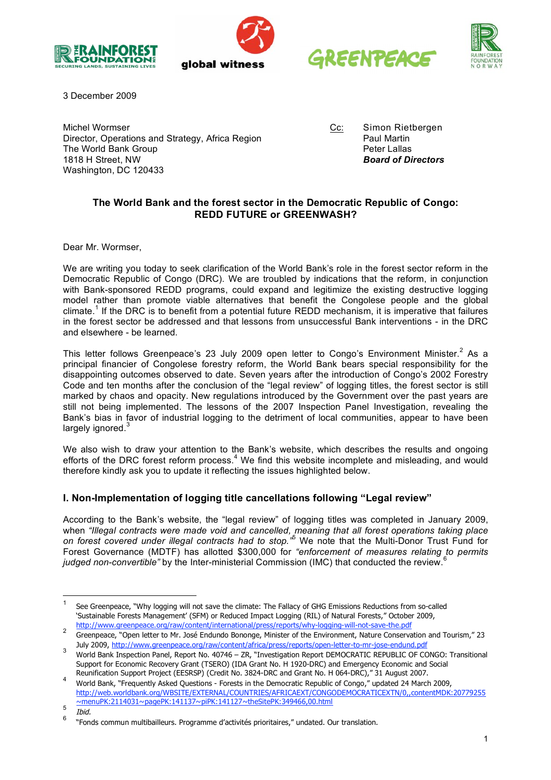







3 December 2009

Michel Wormser<br>Director, Operations and Strategy, Africa Region **CC:** Simon Rietbergen<br>Paul Martin Director, Operations and Strategy, Africa Region Paul Martin<br>The World Bank Group The World Bank Group 1818 H Street, NW *Board of Directors* Washington, DC 120433

# **The World Bank and the forest sector in the Democratic Republic of Congo: REDD FUTURE or GREENWASH?**

Dear Mr. Wormser,

We are writing you today to seek clarification of the World Bank's role in the forest sector reform in the Democratic Republic of Congo (DRC). We are troubled by indications that the reform, in conjunction with Bank-sponsored REDD programs, could expand and legitimize the existing destructive logging model rather than promote viable alternatives that benefit the Congolese people and the global climate.<sup>1</sup> If the DRC is to benefit from a potential future REDD mechanism, it is imperative that failures in the forest sector be addressed and that lessons from unsuccessful Bank interventions - in the DRC and elsewhere - be learned.

This letter follows Greenpeace's 23 July 2009 open letter to Congo's Environment Minister.<sup>2</sup> As a principal financier of Congolese forestry reform, the World Bank bears special responsibility for the disappointing outcomes observed to date. Seven years after the introduction of Congo's 2002 Forestry Code and ten months after the conclusion of the "legal review" of logging titles, the forest sector is still marked by chaos and opacity. New regulations introduced by the Government over the past years are still not being implemented. The lessons of the 2007 Inspection Panel Investigation, revealing the Bank's bias in favor of industrial logging to the detriment of local communities, appear to have been largely ignored.<sup>3</sup>

We also wish to draw your attention to the Bank's website, which describes the results and ongoing efforts of the DRC forest reform process.<sup>4</sup> We find this website incomplete and misleading, and would therefore kindly ask you to update it reflecting the issues highlighted below.

# **I. Non-Implementation of logging title cancellations following "Legal review"**

According to the Bank's website, the "legal review" of logging titles was completed in January 2009, when *"Illegal contracts were made void and cancelled, meaning that all forest operations taking place on forest covered under illegal contracts had to stop."* <sup>5</sup> We note that the Multi-Donor Trust Fund for Forest Governance (MDTF) has allotted \$300,000 for *"enforcement of measures relating to permits* 6 *judged non-convertible"* by the Inter-ministerial Commission (IMC) that conducted the review.

<sup>1</sup> See Greenpeace, "Why logging will not save the climate: The Fallacy of GHG Emissions Reductions from so-called 'Sustainable Forests Management' (SFM) or Reduced Impact Logging (RIL) of Natural Forests," October 2009, http://www.greenpeace.org/raw/content/international/press/reports/why-logging-will-not-save-the.pdf

<sup>&</sup>lt;sup>2</sup> Greenpeace, "Open letter to Mr. José Endundo Bononge, Minister of the Environment, Nature Conservation and Tourism," 23 July 2009, http://www.greenpeace.org/raw/content/africa/press/reports/open-letter-to-mr-jose-endund.pdf

<sup>3</sup> World Bank Inspection Panel, Report No. <sup>40746</sup> – ZR, "Investigation Report DEMOCRATIC REPUBLIC OF CONGO: Transitional Support for Economic Recovery Grant (TSERO) (IDA Grant No. H 1920-DRC) and Emergency Economic and Social Reunification Support Project (EESRSP) (Credit No. 3824-DRC and Grant No. H 064-DRC)," 31 August 2007.

World Bank, "Frequently Asked Questions - Forests in the Democratic Republic of Congo," updated 24 March 2009, http://web.worldbank.org/WBSITE/EXTERNAL/COUNTRIES/AFRICAEXT/CONGODEMOCRATICEXTN/0,,contentMDK:20779255 ~menuPK:2114031~pagePK:141137~piPK:141127~theSitePK:349466,00.html

 $rac{1}{2}$   $frac{1}{2}$   $frac{1}{2}$   $frac{1}{2}$   $frac{1}{2}$   $frac{1}{2}$   $frac{1}{2}$   $frac{1}{2}$   $frac{1}{2}$   $frac{1}{2}$   $frac{1}{2}$   $frac{1}{2}$   $frac{1}{2}$   $frac{1}{2}$   $frac{1}{2}$   $frac{1}{2}$   $frac{1}{2}$   $frac{1}{2}$   $frac{1}{2}$   $frac{1}{2}$   $frac{1}{2}$   $frac{1}{2}$   $frac{1}{2}$   $frac{1}{2}$   $frac{1}{$ 

<sup>6</sup> "Fonds commun multibailleurs. Programme d'activités prioritaires," undated. Our translation.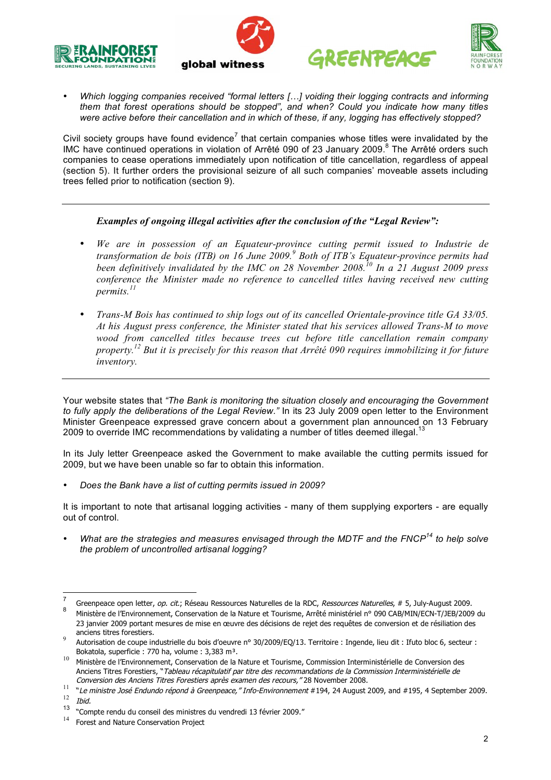







• *Which logging companies received "formal letters […] voiding their logging contracts and informing them that forest operations should be stopped", and when? Could you indicate how many titles were active before their cancellation and in which of these, if any, logging has effectively stopped?*

Civil society groups have found evidence<sup>7</sup> that certain companies whose titles were invalidated by the IMC have continued operations in violation of Arrêté 090 of 23 January 2009.<sup>8</sup> The Arrêté orders such companies to cease operations immediately upon notification of title cancellation, regardless of appeal (section 5). It further orders the provisional seizure of all such companies' moveable assets including trees felled prior to notification (section 9).

# *Examples of ongoing illegal activities after the conclusion of the "Legal Review":*

- *We are in possession of an Equateur-province cutting permit issued to Industrie de transformation de bois (ITB) on 16 June 2009. <sup>9</sup> Both of ITB's Equateur-province permits had been definitively invalidated by the IMC on 28 November 2008. <sup>10</sup> In a 21 August 2009 press conference the Minister made no reference to cancelled titles having received new cutting permits. 11*
- *Trans-M Bois has continued to ship logs out of its cancelled Orientale-province title GA 33/05. At his August press conference, the Minister stated that his services allowed Trans-M to move wood from cancelled titles because trees cut before title cancellation remain company property. <sup>12</sup> But it is precisely for this reason that Arrêté 090 requires immobilizing it for future inventory.*

Your website states that *"The Bank is monitoring the situation closely and encouraging the Government to fully apply the deliberations of the Legal Review."* In its 23 July 2009 open letter to the Environment Minister Greenpeace expressed grave concern about a government plan announced on 13 February 2009 to override IMC recommendations by validating a number of titles deemed illegal.<sup>13</sup>

In its July letter Greenpeace asked the Government to make available the cutting permits issued for 2009, but we have been unable so far to obtain this information.

• *Does the Bank have a list of cutting permits issued in 2009?*

It is important to note that artisanal logging activities - many of them supplying exporters - are equally out of control.

• *What are the strategies and measures envisaged through the MDTF and the FNCP<sup>14</sup> to help solve the problem of uncontrolled artisanal logging?*

Greenpeace open letter, op. cit.; Réseau Ressources Naturelles de la RDC, Ressources Naturelles, # 5, July-August 2009.<br>8 Ministère de l'Environnement, Conservation de la Nature et Tourisme, Arrêté ministériel n° 090 CAB/M

<sup>23</sup> janvier 2009 portant mesures de mise en œuvre des décisions de rejet des requêtes de conversion et de résiliation des

Autorisation de coupe industrielle du bois d'oeuvre n° 30/2009/EQ/13. Territoire : Ingende, lieu dit : Ifuto bloc 6, secteur :

Bokatola, superficie : 770 ha, volume : 3,383 m<sup>3</sup>.<br><sup>10</sup> Ministère de l'Environnement, Conservation de la Nature et Tourisme, Commission Interministérielle de Conversion des Anciens Titres Forestiers, "Tableau récapitulatif par titre des recommandations de la Commission Interministérielle de<br>Conversion des Anciens Titres Forestiers après examen des recours,"28 November 2008.

Conversion des Anciens Titres Forestiers après examen des recours, " 28 November 2009.<br>
<sup>11</sup> "Le ministre José Endundo répond à Greenpeace," Info-Environnement #194, 24 August 2009, and #195, 4 September 2009.  $\frac{12}{13}$  Ibid.

<sup>&</sup>lt;sup>13</sup> "Compte rendu du conseil des ministres du vendredi 13 février 2009."

Forest and Nature Conservation Project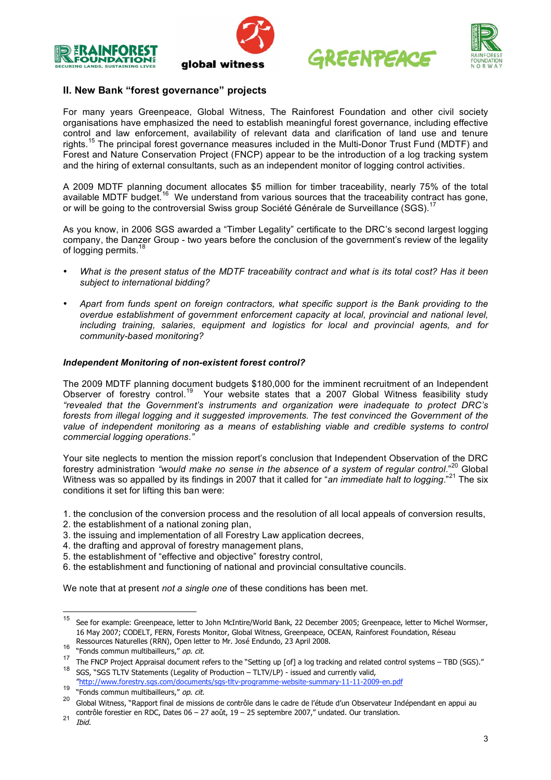







# **II. New Bank "forest governance" projects**

For many years Greenpeace, Global Witness, The Rainforest Foundation and other civil society organisations have emphasized the need to establish meaningful forest governance, including effective control and law enforcement, availability of relevant data and clarification of land use and tenure rights.<sup>15</sup> The principal forest governance measures included in the Multi-Donor Trust Fund (MDTF) and Forest and Nature Conservation Project (FNCP) appear to be the introduction of a log tracking system and the hiring of external consultants, such as an independent monitor of logging control activities.

A 2009 MDTF planning document allocates \$5 million for timber traceability, nearly 75% of the total available MDTF budget.<sup>16</sup> We understand from various sources that the traceability contract has gone, or will be going to the controversial Swiss group Société Générale de Surveillance (SGS).<sup>17</sup>

As you know, in 2006 SGS awarded a "Timber Legality" certificate to the DRC's second largest logging company, the Danzer Group - two years before the conclusion of the government's review of the legality of logging permits.<sup>18</sup>

- What is the present status of the MDTF traceability contract and what is its total cost? Has it been *subject to international bidding?*
- *Apart from funds spent on foreign contractors, what specific support is the Bank providing to the overdue establishment of government enforcement capacity at local, provincial and national level, including training, salaries, equipment and logistics for local and provincial agents, and for community-based monitoring?*

## *Independent Monitoring of non-existent forest control?*

The 2009 MDTF planning document budgets \$180,000 for the imminent recruitment of an Independent Observer of forestry control.<sup>19</sup> Your website states that a 2007 Global Witness feasibility study *"revealed that the Government's instruments and organization were inadequate to protect DRC's forests from illegal logging and it suggested improvements. The test convinced the Government of the value of independent monitoring as a means of establishing viable and credible systems to control commercial logging operations."*

Your site neglects to mention the mission report's conclusion that Independent Observation of the DRC forestry administration *"would make no sense in the absence of a system of regular control*." <sup>20</sup> Global Witness was so appalled by its findings in 2007 that it called for "*an immediate halt to logging*." <sup>21</sup> The six conditions it set for lifting this ban were:

- 1. the conclusion of the conversion process and the resolution of all local appeals of conversion results,
- 2. the establishment of a national zoning plan,
- 3. the issuing and implementation of all Forestry Law application decrees,
- 4. the drafting and approval of forestry management plans,
- 5. the establishment of "effective and objective" forestry control,
- 6. the establishment and functioning of national and provincial consultative councils.

We note that at present *not a single one* of these conditions has been met.

<sup>15</sup> See for example: Greenpeace, letter to John McIntire/World Bank, <sup>22</sup> December 2005; Greenpeace, letter to Michel Wormser, 16 May 2007; CODELT, FERN, Forests Monitor, Global Witness, Greenpeace, OCEAN, Rainforest Foundation, Réseau

Ressources Naturelles (RRN), Open letter to Mr. José Endundo, 23 April 2008.<br>
"Fonds commun multibailleurs," op. cit.<br>
The FNCP Project Appraisal document refers to the "Setting up [of] a log tracking and related control

<sup>18</sup> SGS, "SGS TLTV Statements (Legality of Production – TLTV/LP) - issued and currently valid, "http://www.forestry.sgs.com/documents/sgs-tltv-programme-website-summary-11-11-2009-en.pdf

<sup>19 &</sup>quot;Fonds commun multibailleurs," op. cit.<br>20 Global Witness, "Rapport final de missions de contrôle dans le cadre de l'étude d'un Observateur Indépendant en appui au contrôle forestier en RDC, Dates  $06 - 27$  août,  $19 - 25$  septembre 2007," undated. Our translation.<br> *21 Ibid.*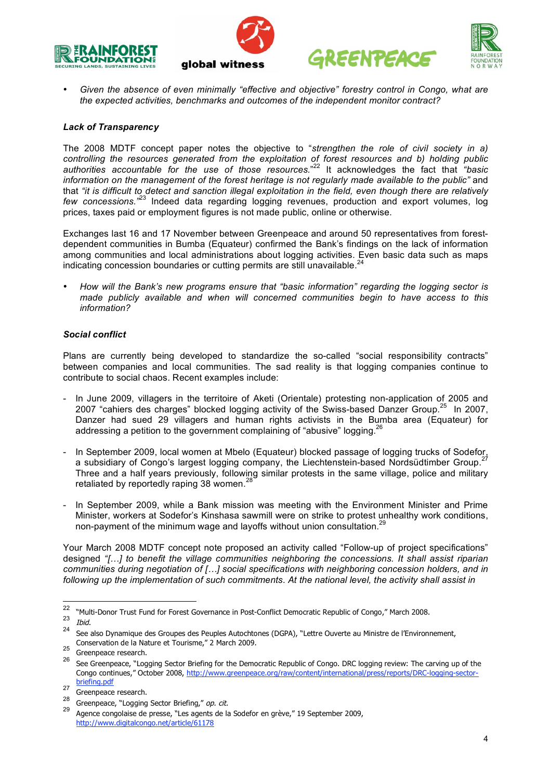







• *Given the absence of even minimally "effective and objective" forestry control in Congo, what are the expected activities, benchmarks and outcomes of the independent monitor contract?*

## *Lack of Transparency*

The 2008 MDTF concept paper notes the objective to "*strengthen the role of civil society in a) controlling the resources generated from the exploitation of forest resources and b) holding public authorities accountable for the use of those resources.*" <sup>22</sup> It acknowledges the fact that *"basic information on the management of the forest heritage is not regularly made available to the public"* and that "it is difficult to detect and sanction illegal exploitation in the field, even though there are relatively *few concessions."* <sup>23</sup> Indeed data regarding logging revenues, production and export volumes, log prices, taxes paid or employment figures is not made public, online or otherwise.

Exchanges last 16 and 17 November between Greenpeace and around 50 representatives from forestdependent communities in Bumba (Equateur) confirmed the Bank's findings on the lack of information among communities and local administrations about logging activities. Even basic data such as maps indicating concession boundaries or cutting permits are still unavailable.<sup>24</sup>

• *How will the Bank's new programs ensure that "basic information" regarding the logging sector is made publicly available and when will concerned communities begin to have access to this information?*

#### *Social conflict*

Plans are currently being developed to standardize the so-called "social responsibility contracts" between companies and local communities. The sad reality is that logging companies continue to contribute to social chaos. Recent examples include:

- In June 2009, villagers in the territoire of Aketi (Orientale) protesting non-application of 2005 and 2007 "cahiers des charges" blocked logging activity of the Swiss-based Danzer Group.<sup>25</sup> In 2007, Danzer had sued 29 villagers and human rights activists in the Bumba area (Equateur) for addressing a petition to the government complaining of "abusive" logging.<sup>26</sup>
- In September 2009, local women at Mbelo (Equateur) blocked passage of logging trucks of Sodefor, a subsidiary of Congo's largest logging company, the Liechtenstein-based Nordsüdtimber Group.<sup>27</sup> Three and a half years previously, following similar protests in the same village, police and military retaliated by reportedly raping 38 women.<sup>28</sup>
- In September 2009, while a Bank mission was meeting with the Environment Minister and Prime Minister, workers at Sodefor's Kinshasa sawmill were on strike to protest unhealthy work conditions, non-payment of the minimum wage and layoffs without union consultation.<sup>29</sup>

Your March 2008 MDTF concept note proposed an activity called "Follow-up of project specifications" designed *"[…] to benefit the village communities neighboring the concessions. It shall assist riparian communities during negotiation of […] social specifications with neighboring concession holders, and in following up the implementation of such commitments. At the national level, the activity shall assist in*

<sup>&</sup>lt;sup>22</sup> "Multi-Donor Trust Fund for Forest Governance in Post-Conflict Democratic Republic of Congo," March 2008.<br><sup>23</sup> Ibid.

<sup>&</sup>lt;sup>24</sup> See also Dynamique des Groupes des Peuples Autochtones (DGPA), "Lettre Ouverte au Ministre de l'Environnement, Conservation de la Nature et Tourisme," 2 March 2009.<br><sup>25</sup> Greenpeace research.<br><sup>26</sup> See Greenpeace, "Logging Sector Briefing for the Democratic Republic of Congo. DRC logging review: The carving up of the

Congo continues," October 2008, http://www.greenpeace.org/raw/content/international/press/reports/DRC-logging-sectorbriefing.pdf

<sup>27</sup> Greenpeace research.<br>
28 Greenpeace, "Logging Sector Briefing," op. cit.<br>
29 Agence congolaise de presse, "Les agents de la Sodefor en grève," 19 September 2009, http://www.digitalcongo.net/article/61178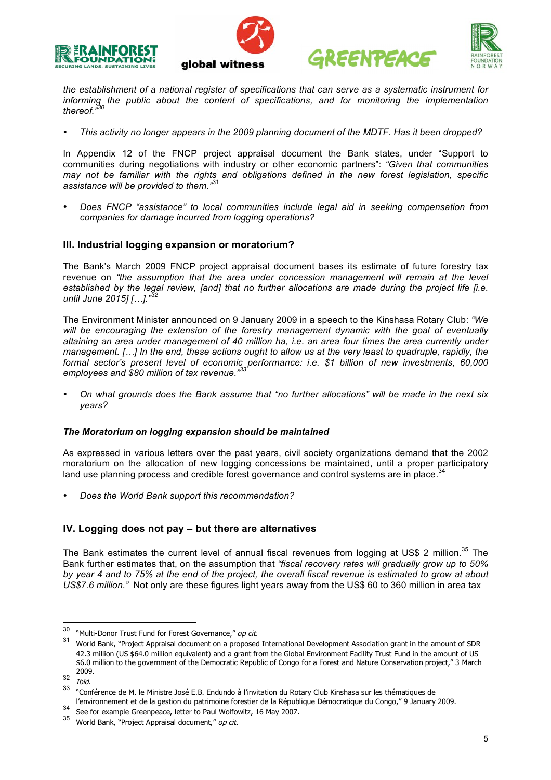







*the establishment of a national register of specifications that can serve as a systematic instrument for informing the public about the content of specifications, and for monitoring the implementation thereof." 30*

• *This activity no longer appears in the 2009 planning document of the MDTF. Has it been dropped?*

In Appendix 12 of the FNCP project appraisal document the Bank states, under "Support to communities during negotiations with industry or other economic partners": *"Given that communities may not be familiar with the rights and obligations defined in the new forest legislation, specific assistance will be provided to them."* 31

• *Does FNCP "assistance" to local communities include legal aid in seeking compensation from companies for damage incurred from logging operations?*

# **III. Industrial logging expansion or moratorium?**

The Bank's March 2009 FNCP project appraisal document bases its estimate of future forestry tax revenue on *"the assumption that the area under concession management will remain at the level established by the legal review, [and] that no further allocations are made during the project life [i.e. until June 2015] […]." 32*

The Environment Minister announced on 9 January 2009 in a speech to the Kinshasa Rotary Club: *"We will be encouraging the extension of the forestry management dynamic with the goal of eventually* attaining an area under management of 40 million ha, i.e. an area four times the area currently under management. [...] In the end, these actions ought to allow us at the very least to quadruple, rapidly, the *formal sector's present level of economic performance: i.e. \$1 billion of new investments, 60,000 employees and \$80 million of tax revenue." 33*

• *On what grounds does the Bank assume that "no further allocations" will be made in the next six years?*

## *The Moratorium on logging expansion should be maintained*

As expressed in various letters over the past years, civil society organizations demand that the 2002 moratorium on the allocation of new logging concessions be maintained, until a proper participatory land use planning process and credible forest governance and control systems are in place. 34

• *Does the World Bank support this recommendation?*

## **IV. Logging does not pay – but there are alternatives**

The Bank estimates the current level of annual fiscal revenues from logging at US\$ 2 million.<sup>35</sup> The Bank further estimates that, on the assumption that *"fiscal recovery rates will gradually grow up to 50%* by year 4 and to 75% at the end of the project, the overall fiscal revenue is estimated to grow at about *US\$7.6 million."* Not only are these figures light years away from the US\$ 60 to 360 million in area tax

<sup>&</sup>lt;sup>30</sup> "Multi-Donor Trust Fund for Forest Governance," op cit.<br><sup>31</sup> World Bank, "Project Appraisal document on a proposed International Development Association grant in the amount of SDR 42.3 million (US \$64.0 million equivalent) and a grant from the Global Environment Facility Trust Fund in the amount of US \$6.0 million to the government of the Democratic Republic of Congo for a Forest and Nature Conservation project," 3 March  $rac{2009}{\text{thid}}$ 

<sup>&</sup>lt;sup>33</sup> "Conférence de M. le Ministre José E.B. Endundo à l'invitation du Rotary Club Kinshasa sur les thématiques de

l'environnement et de la gestion du patrimoine forestier de la République Démocratique du Congo," 9 January 2009.<br>See for example Greenpeace, letter to Paul Wolfowitz, 16 May 2007.<br><sup>35</sup> World Bank, "Project Appraisal docu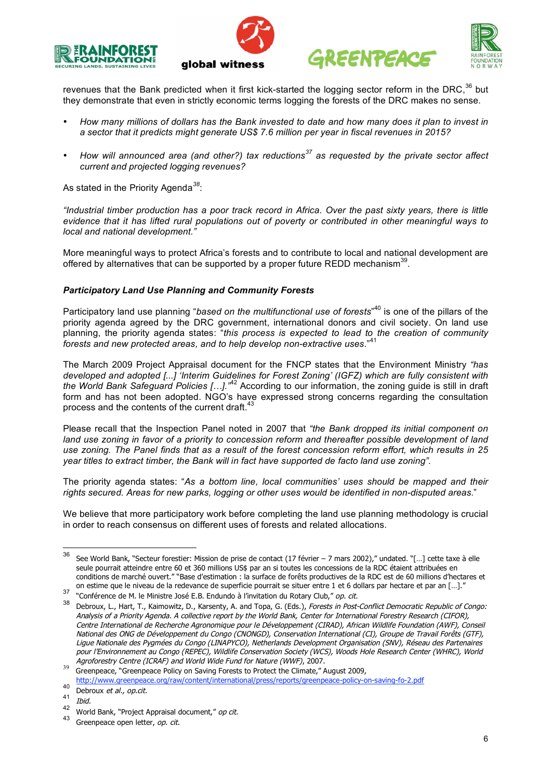







revenues that the Bank predicted when it first kick-started the logging sector reform in the DRC,  $36$  but they demonstrate that even in strictly economic terms logging the forests of the DRC makes no sense.

- How many millions of dollars has the Bank invested to date and how many does it plan to invest in *a sector that it predicts might generate US\$ 7.6 million per year in fiscal revenues in 2015?*
- *How will announced area (and other?) tax reductions<sup>37</sup> as requested by the private sector affect current and projected logging revenues?*

As stated in the Priority Agenda*<sup>38</sup>*:

"Industrial timber production has a poor track record in Africa. Over the past sixty vears, there is little *evidence that it has lifted rural populations out of poverty or contributed in other meaningful ways to local and national development."*

More meaningful ways to protect Africa's forests and to contribute to local and national development are offered by alternatives that can be supported by a proper future REDD mechanism<sup>39</sup>.

## *Participatory Land Use Planning and Community Forests*

Participatory land use planning "*based on the multifunctional use of forests*" <sup>40</sup> is one of the pillars of the priority agenda agreed by the DRC government, international donors and civil society. On land use planning, the priority agenda states: "*this process is expected to lead to the creation of community forests and new protected areas, and to help develop non-extractive uses.*" 41

The March 2009 Project Appraisal document for the FNCP states that the Environment Ministry *"has developed and adopted [...] 'Interim Guidelines for Forest Zoning' (IGFZ) which are fully consistent with the World Bank Safeguard Policies […]."* <sup>42</sup> According to our information, the zoning guide is still in draft form and has not been adopted. NGO's have expressed strong concerns regarding the consultation process and the contents of the current draft.<sup>43</sup>

Please recall that the Inspection Panel noted in 2007 that *"the Bank dropped its initial component on land use zoning in favor of a priority to concession reform and thereafter possible development of land* use zoning. The Panel finds that as a result of the forest concession reform effort, which results in 25 *year titles to extract timber, the Bank will in fact have supported de facto land use zoning".*

The priority agenda states: "*As a bottom line, local communities' uses should be mapped and their rights secured. Areas for new parks, logging or other uses would be identified in non-disputed areas*."

We believe that more participatory work before completing the land use planning methodology is crucial in order to reach consensus on different uses of forests and related allocations.

<sup>36</sup> See World Bank, "Secteur forestier: Mission de prise de contact (17 février – <sup>7</sup> mars 2002)," undated. "[…] cette taxe <sup>à</sup> elle seule pourrait atteindre entre 60 et 360 millions US\$ par an si toutes les concessions de la RDC étaient attribuées en conditions de marché ouvert." "Base d'estimation : la surface de forêts productives de la RDC est de 60 millions d'hectares et

or cannel due te medal de la redevance de sapernele pourrait se situal entre 1 et 6 donars par ricciale et par an [...].<br>The morference de M. le Ministre José E.B. Endundo à l'invitation du Rotary Club," op. cit.<br>Bebroux, Analysis of <sup>a</sup> Priority Agenda. A collective report by the World Bank, Center for International Forestry Research (CIFOR), Centre International de Recherche Agronomique pour le Développement (CIRAD), African Wildlife Foundation (AWF), Conseil National des ONG de Développement du Congo (CNONGD), Conservation International (CI), Groupe de Travail Forêts (GTF), Ligue Nationale des Pygmées du Congo (LINAPYCO), Netherlands Development Organisation (SNV), Réseau des Partenaires pour l'Environnement au Congo (REPEC), Wildlife Conservation Society (WCS), Woods Hole Research Center (WHRC), World

Agroforestry Centre (ICRAF) and World Wide Fund for Nature (WWF), 2007.<br><sup>39</sup> Greenpeace, "Greenpeace Policy on Saving Forests to Protect the Climate," August 2009,

http://www.greenpeace.org/raw/content/international/press/reports/greenpeace-policy-on-saving-fo-2.pdf

<sup>40</sup> Debroux *et al., op.cit.*  $\frac{41}{42}$  *Ibid.* 

<sup>&</sup>lt;sup>42</sup> World Bank, "Project Appraisal document," op cit.<br><sup>43</sup> Greenpeace open letter, op. cit.